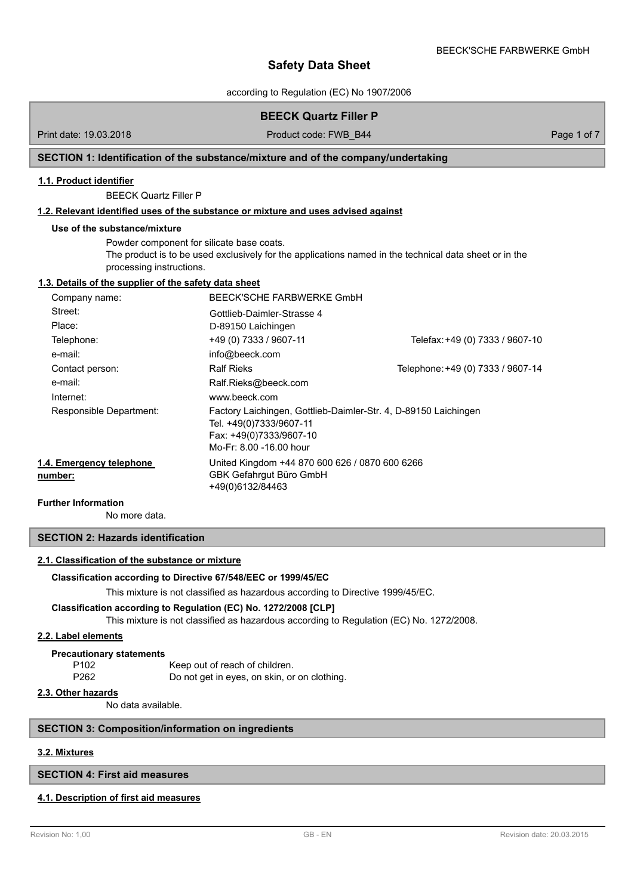according to Regulation (EC) No 1907/2006

# **BEECK Quartz Filler P**

Print date: 19.03.2018 **Product code: FWB\_B44** Page 1 of 7

# **SECTION 1: Identification of the substance/mixture and of the company/undertaking**

#### **1.1. Product identifier**

BEECK Quartz Filler P

### **1.2. Relevant identified uses of the substance or mixture and uses advised against**

#### **Use of the substance/mixture**

Powder component for silicate base coats. The product is to be used exclusively for the applications named in the technical data sheet or in the processing instructions.

#### **1.3. Details of the supplier of the safety data sheet**

| Company name:                       | BEECK'SCHE FARBWERKE GmbH                                                                                                                        |                                   |  |  |
|-------------------------------------|--------------------------------------------------------------------------------------------------------------------------------------------------|-----------------------------------|--|--|
| Street:                             | Gottlieb-Daimler-Strasse 4                                                                                                                       |                                   |  |  |
| Place:                              | D-89150 Laichingen                                                                                                                               |                                   |  |  |
| Telephone:                          | +49 (0) 7333 / 9607-11                                                                                                                           | Telefax: +49 (0) 7333 / 9607-10   |  |  |
| e-mail:                             | info@beeck.com                                                                                                                                   |                                   |  |  |
| Contact person:                     | <b>Ralf Rieks</b>                                                                                                                                | Telephone: +49 (0) 7333 / 9607-14 |  |  |
| e-mail:                             | Ralf.Rieks@beeck.com                                                                                                                             |                                   |  |  |
| Internet:                           | www.beeck.com                                                                                                                                    |                                   |  |  |
| Responsible Department:             | Factory Laichingen, Gottlieb-Daimler-Str. 4, D-89150 Laichingen<br>Tel. +49(0)7333/9607-11<br>Fax: +49(0)7333/9607-10<br>Mo-Fr: 8.00 -16.00 hour |                                   |  |  |
| 1.4. Emergency telephone<br>number: | United Kingdom +44 870 600 626 / 0870 600 6266<br>GBK Gefahrgut Büro GmbH<br>+49(0)6132/84463                                                    |                                   |  |  |

### **Further Information**

No more data.

# **SECTION 2: Hazards identification**

### **2.1. Classification of the substance or mixture**

#### **Classification according to Directive 67/548/EEC or 1999/45/EC**

This mixture is not classified as hazardous according to Directive 1999/45/EC.

#### **Classification according to Regulation (EC) No. 1272/2008 [CLP]**

This mixture is not classified as hazardous according to Regulation (EC) No. 1272/2008.

#### **2.2. Label elements**

#### **Precautionary statements**

| P <sub>102</sub> | Keep out of reach of children.               |  |  |
|------------------|----------------------------------------------|--|--|
| P262             | Do not get in eyes, on skin, or on clothing. |  |  |

## **2.3. Other hazards**

No data available.

#### **SECTION 3: Composition/information on ingredients**

# **3.2. Mixtures**

# **SECTION 4: First aid measures**

### **4.1. Description of first aid measures**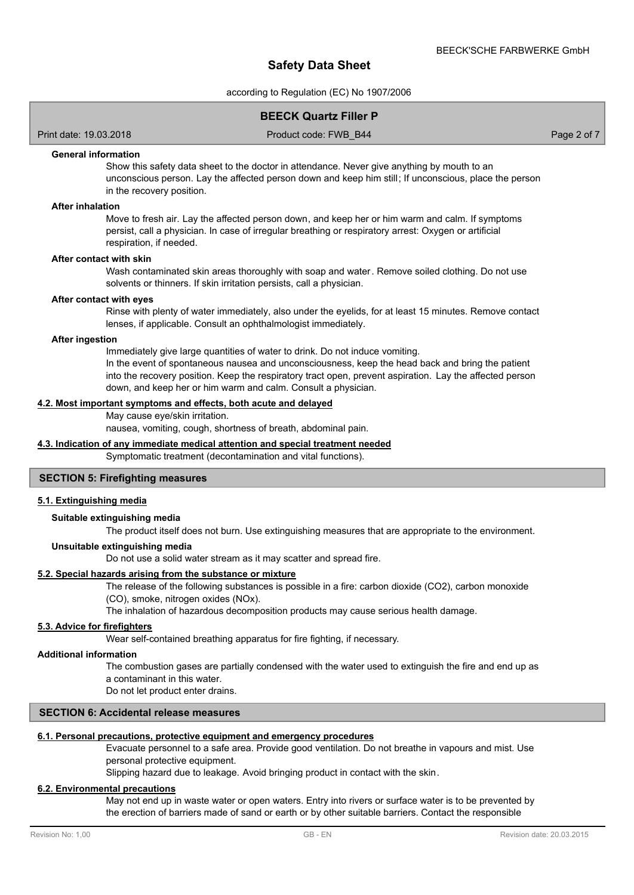according to Regulation (EC) No 1907/2006

## **BEECK Quartz Filler P**

Print date: 19.03.2018 Product code: FWB\_B44 Page 2 of 7

### **General information**

Show this safety data sheet to the doctor in attendance. Never give anything by mouth to an unconscious person. Lay the affected person down and keep him still; If unconscious, place the person in the recovery position.

#### **After inhalation**

Move to fresh air. Lay the affected person down, and keep her or him warm and calm. If symptoms persist, call a physician. In case of irregular breathing or respiratory arrest: Oxygen or artificial respiration, if needed.

#### **After contact with skin**

Wash contaminated skin areas thoroughly with soap and water. Remove soiled clothing. Do not use solvents or thinners. If skin irritation persists, call a physician.

#### **After contact with eyes**

Rinse with plenty of water immediately, also under the eyelids, for at least 15 minutes. Remove contact lenses, if applicable. Consult an ophthalmologist immediately.

#### **After ingestion**

Immediately give large quantities of water to drink. Do not induce vomiting. In the event of spontaneous nausea and unconsciousness, keep the head back and bring the patient into the recovery position. Keep the respiratory tract open, prevent aspiration. Lay the affected person down, and keep her or him warm and calm. Consult a physician.

#### **4.2. Most important symptoms and effects, both acute and delayed**

May cause eye/skin irritation.

nausea, vomiting, cough, shortness of breath, abdominal pain.

# **4.3. Indication of any immediate medical attention and special treatment needed**

## Symptomatic treatment (decontamination and vital functions).

#### **SECTION 5: Firefighting measures**

### **5.1. Extinguishing media**

#### **Suitable extinguishing media**

The product itself does not burn. Use extinguishing measures that are appropriate to the environment.

#### **Unsuitable extinguishing media**

Do not use a solid water stream as it may scatter and spread fire.

# **5.2. Special hazards arising from the substance or mixture**

The release of the following substances is possible in a fire: carbon dioxide (CO2), carbon monoxide

#### (CO), smoke, nitrogen oxides (NOx).

The inhalation of hazardous decomposition products may cause serious health damage.

### **5.3. Advice for firefighters**

Wear self-contained breathing apparatus for fire fighting, if necessary.

#### **Additional information**

The combustion gases are partially condensed with the water used to extinguish the fire and end up as a contaminant in this water.

Do not let product enter drains.

#### **SECTION 6: Accidental release measures**

#### **6.1. Personal precautions, protective equipment and emergency procedures**

Evacuate personnel to a safe area. Provide good ventilation. Do not breathe in vapours and mist. Use personal protective equipment.

Slipping hazard due to leakage. Avoid bringing product in contact with the skin.

### **6.2. Environmental precautions**

May not end up in waste water or open waters. Entry into rivers or surface water is to be prevented by the erection of barriers made of sand or earth or by other suitable barriers. Contact the responsible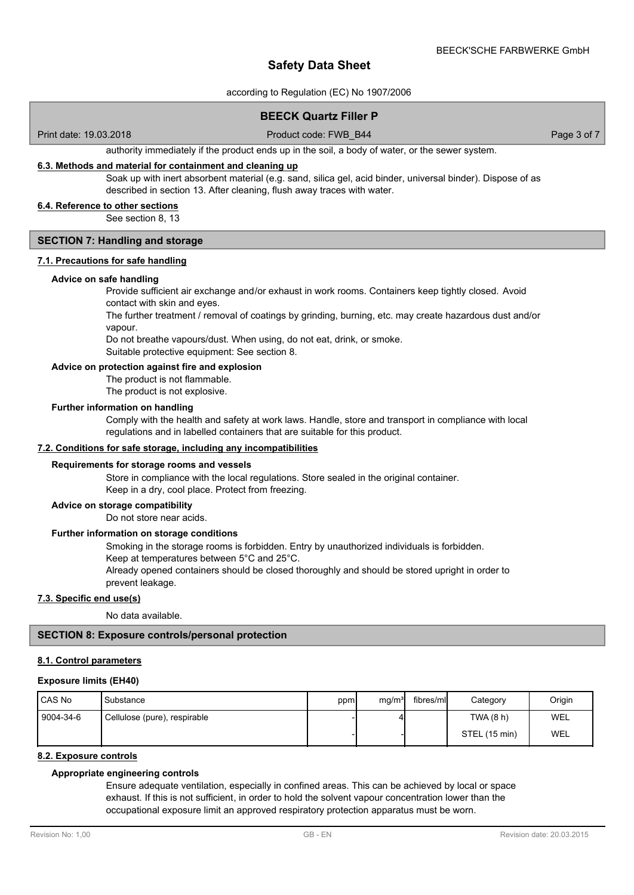according to Regulation (EC) No 1907/2006

# **BEECK Quartz Filler P**

Print date: 19.03.2018 Product code: FWB\_B44 Page 3 of 7

authority immediately if the product ends up in the soil, a body of water, or the sewer system.

# **6.3. Methods and material for containment and cleaning up**

Soak up with inert absorbent material (e.g. sand, silica gel, acid binder, universal binder). Dispose of as described in section 13. After cleaning, flush away traces with water.

### **6.4. Reference to other sections**

See section 8, 13

## **SECTION 7: Handling and storage**

# **7.1. Precautions for safe handling**

#### **Advice on safe handling**

Provide sufficient air exchange and/or exhaust in work rooms. Containers keep tightly closed. Avoid contact with skin and eyes.

The further treatment / removal of coatings by grinding, burning, etc. may create hazardous dust and/or vapour.

Do not breathe vapours/dust. When using, do not eat, drink, or smoke.

Suitable protective equipment: See section 8.

# **Advice on protection against fire and explosion**

The product is not flammable.

The product is not explosive.

#### **Further information on handling**

Comply with the health and safety at work laws. Handle, store and transport in compliance with local regulations and in labelled containers that are suitable for this product.

#### **7.2. Conditions for safe storage, including any incompatibilities**

#### **Requirements for storage rooms and vessels**

Store in compliance with the local regulations. Store sealed in the original container. Keep in a dry, cool place. Protect from freezing.

#### **Advice on storage compatibility**

Do not store near acids.

### **Further information on storage conditions**

Smoking in the storage rooms is forbidden. Entry by unauthorized individuals is forbidden. Keep at temperatures between 5°C and 25°C.

Already opened containers should be closed thoroughly and should be stored upright in order to prevent leakage.

#### **7.3. Specific end use(s)**

No data available.

## **SECTION 8: Exposure controls/personal protection**

### **8.1. Control parameters**

#### **Exposure limits (EH40)**

| l CAS No  | Substance                    | ppm | mq/m <sup>3</sup> | fibres/ml | Category      | Origin     |
|-----------|------------------------------|-----|-------------------|-----------|---------------|------------|
| 9004-34-6 | Cellulose (pure), respirable |     |                   |           | TWA (8 h)     | WEL        |
|           |                              |     |                   |           | STEL (15 min) | <b>WEL</b> |

#### **8.2. Exposure controls**

# **Appropriate engineering controls**

Ensure adequate ventilation, especially in confined areas. This can be achieved by local or space exhaust. If this is not sufficient, in order to hold the solvent vapour concentration lower than the occupational exposure limit an approved respiratory protection apparatus must be worn.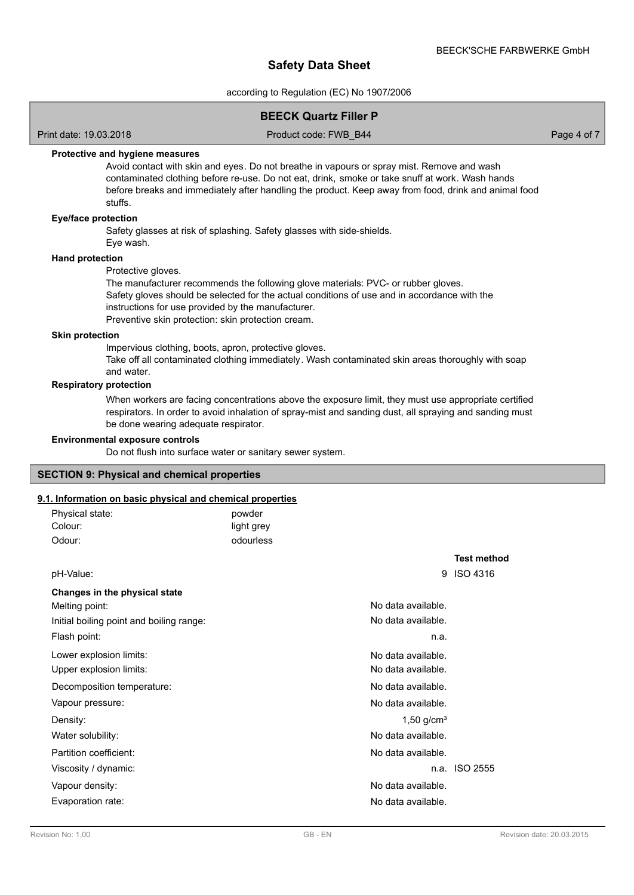according to Regulation (EC) No 1907/2006

# **BEECK Quartz Filler P**

Print date: 19.03.2018 Product code: FWB\_B44 Page 4 of 7

## **Protective and hygiene measures**

Avoid contact with skin and eyes. Do not breathe in vapours or spray mist. Remove and wash contaminated clothing before re-use. Do not eat, drink, smoke or take snuff at work. Wash hands before breaks and immediately after handling the product. Keep away from food, drink and animal food stuffs.

#### **Eye/face protection**

Safety glasses at risk of splashing. Safety glasses with side-shields.

Eye wash.

# **Hand protection**

Protective gloves.

The manufacturer recommends the following glove materials: PVC- or rubber gloves. Safety gloves should be selected for the actual conditions of use and in accordance with the instructions for use provided by the manufacturer.

Preventive skin protection: skin protection cream.

#### **Skin protection**

Impervious clothing, boots, apron, protective gloves. Take off all contaminated clothing immediately. Wash contaminated skin areas thoroughly with soap and water.

#### **Respiratory protection**

When workers are facing concentrations above the exposure limit, they must use appropriate certified respirators. In order to avoid inhalation of spray-mist and sanding dust, all spraying and sanding must be done wearing adequate respirator.

#### **Environmental exposure controls**

Do not flush into surface water or sanitary sewer system.

#### **SECTION 9: Physical and chemical properties**

## **9.1. Information on basic physical and chemical properties**

| Physical state:<br>Colour:               | powder<br>light grey |                          |                    |
|------------------------------------------|----------------------|--------------------------|--------------------|
| Odour:                                   | odourless            |                          |                    |
|                                          |                      |                          | <b>Test method</b> |
| pH-Value:                                |                      | 9                        | <b>ISO 4316</b>    |
| Changes in the physical state            |                      |                          |                    |
| Melting point:                           |                      | No data available.       |                    |
| Initial boiling point and boiling range: |                      | No data available.       |                    |
| Flash point:                             |                      | n.a.                     |                    |
| Lower explosion limits:                  |                      | No data available.       |                    |
| Upper explosion limits:                  |                      | No data available.       |                    |
| Decomposition temperature:               |                      | No data available.       |                    |
| Vapour pressure:                         |                      | No data available.       |                    |
| Density:                                 |                      | $1,50$ g/cm <sup>3</sup> |                    |
| Water solubility:                        |                      | No data available.       |                    |
| Partition coefficient:                   |                      | No data available.       |                    |
| Viscosity / dynamic:                     |                      | n.a.                     | <b>ISO 2555</b>    |
| Vapour density:                          |                      | No data available.       |                    |
| Evaporation rate:                        |                      | No data available.       |                    |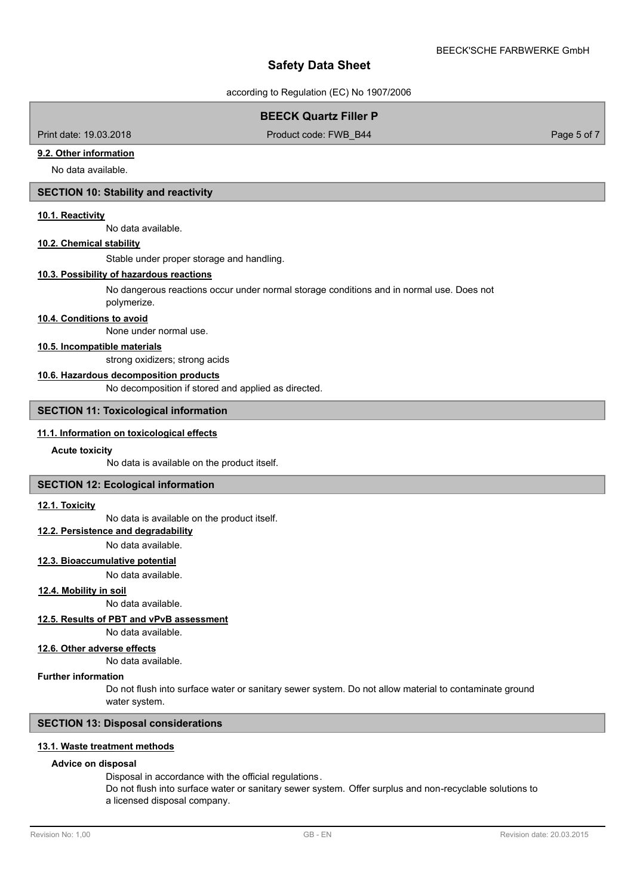according to Regulation (EC) No 1907/2006

# **BEECK Quartz Filler P**

Print date: 19.03.2018 Product code: FWB\_B44 Page 5 of 7

### **9.2. Other information**

No data available.

# **SECTION 10: Stability and reactivity**

#### **10.1. Reactivity**

No data available.

### **10.2. Chemical stability**

Stable under proper storage and handling.

### **10.3. Possibility of hazardous reactions**

No dangerous reactions occur under normal storage conditions and in normal use. Does not polymerize.

#### **10.4. Conditions to avoid**

None under normal use.

## **10.5. Incompatible materials**

strong oxidizers; strong acids

#### **10.6. Hazardous decomposition products**

No decomposition if stored and applied as directed.

## **SECTION 11: Toxicological information**

# **11.1. Information on toxicological effects**

#### **Acute toxicity**

No data is available on the product itself.

## **SECTION 12: Ecological information**

#### **12.1. Toxicity**

No data is available on the product itself.

### **12.2. Persistence and degradability**

No data available.

# **12.3. Bioaccumulative potential**

No data available.

#### **12.4. Mobility in soil**

No data available.

# **12.5. Results of PBT and vPvB assessment**

No data available.

# **12.6. Other adverse effects**

No data available.

# **Further information**

Do not flush into surface water or sanitary sewer system. Do not allow material to contaminate ground water system.

# **SECTION 13: Disposal considerations**

# **13.1. Waste treatment methods**

# **Advice on disposal**

Disposal in accordance with the official regulations. Do not flush into surface water or sanitary sewer system. Offer surplus and non-recyclable solutions to a licensed disposal company.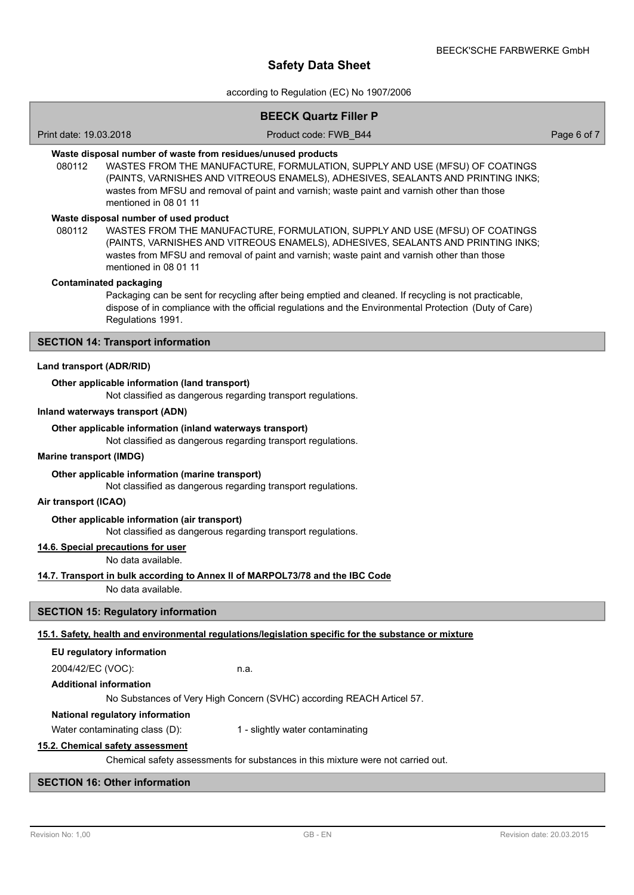according to Regulation (EC) No 1907/2006

# **BEECK Quartz Filler P**

Print date: 19.03.2018 Product code: FWB\_B44 Page 6 of 7

# **Waste disposal number of waste from residues/unused products**

080112 WASTES FROM THE MANUFACTURE, FORMULATION, SUPPLY AND USE (MFSU) OF COATINGS (PAINTS, VARNISHES AND VITREOUS ENAMELS), ADHESIVES, SEALANTS AND PRINTING INKS; wastes from MFSU and removal of paint and varnish; waste paint and varnish other than those mentioned in 08 01 11

### **Waste disposal number of used product**

WASTES FROM THE MANUFACTURE, FORMULATION, SUPPLY AND USE (MFSU) OF COATINGS (PAINTS, VARNISHES AND VITREOUS ENAMELS), ADHESIVES, SEALANTS AND PRINTING INKS; wastes from MFSU and removal of paint and varnish; waste paint and varnish other than those mentioned in 08 01 11 080112

#### **Contaminated packaging**

Packaging can be sent for recycling after being emptied and cleaned. If recycling is not practicable, dispose of in compliance with the official regulations and the Environmental Protection (Duty of Care) Regulations 1991.

### **SECTION 14: Transport information**

#### **Land transport (ADR/RID)**

#### **Other applicable information (land transport)**

Not classified as dangerous regarding transport regulations.

#### **Inland waterways transport (ADN)**

#### **Other applicable information (inland waterways transport)**

Not classified as dangerous regarding transport regulations.

#### **Marine transport (IMDG)**

#### **Other applicable information (marine transport)**

Not classified as dangerous regarding transport regulations.

### **Air transport (ICAO)**

#### **Other applicable information (air transport)**

Not classified as dangerous regarding transport regulations.

# **14.6. Special precautions for user**

No data available.

#### **14.7. Transport in bulk according to Annex II of MARPOL73/78 and the IBC Code**

No data available.

#### **SECTION 15: Regulatory information**

### **15.1. Safety, health and environmental regulations/legislation specific for the substance or mixture**

### **EU regulatory information**

2004/42/EC (VOC): n.a.

**Additional information**

#### No Substances of Very High Concern (SVHC) according REACH Articel 57.

#### **National regulatory information**

Water contaminating class (D): 1 - slightly water contaminating

# **15.2. Chemical safety assessment**

Chemical safety assessments for substances in this mixture were not carried out.

# **SECTION 16: Other information**